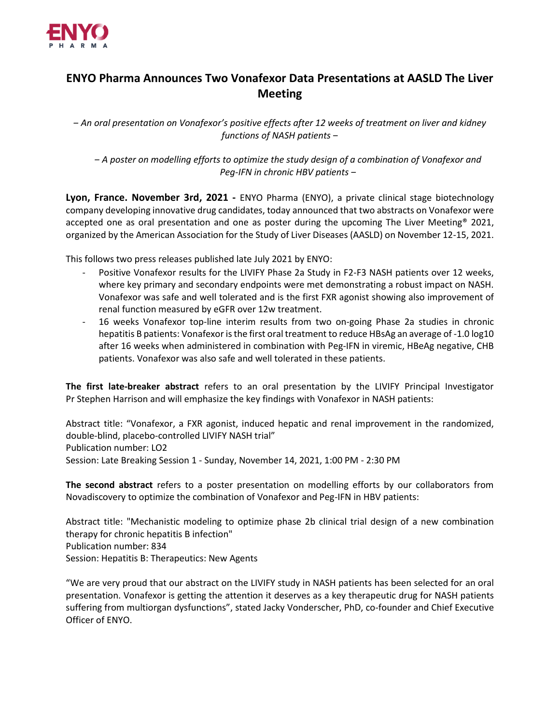

## **ENYO Pharma Announces Two Vonafexor Data Presentations at AASLD The Liver Meeting**

*‒ An oral presentation on Vonafexor's positive effects after 12 weeks of treatment on liver and kidney functions of NASH patients ‒*

*‒ A poster on modelling efforts to optimize the study design of a combination of Vonafexor and Peg-IFN in chronic HBV patients ‒*

**Lyon, France. November 3rd, 2021 -** ENYO Pharma (ENYO), a private clinical stage biotechnology company developing innovative drug candidates, today announced that two abstracts on Vonafexor were accepted one as oral presentation and one as poster during the upcoming The Liver Meeting<sup>®</sup> 2021, organized by the American Association for the Study of Liver Diseases (AASLD) on November 12-15, 2021.

This follows two press releases published late July 2021 by ENYO:

- Positive Vonafexor results for the LIVIFY Phase 2a Study in F2-F3 NASH patients over 12 weeks, where key primary and secondary endpoints were met demonstrating a robust impact on NASH. Vonafexor was safe and well tolerated and is the first FXR agonist showing also improvement of renal function measured by eGFR over 12w treatment.
- 16 weeks Vonafexor top-line interim results from two on-going Phase 2a studies in chronic hepatitis B patients: Vonafexor is the first oral treatment to reduce HBsAg an average of -1.0 log10 after 16 weeks when administered in combination with Peg-IFN in viremic, HBeAg negative, CHB patients. Vonafexor was also safe and well tolerated in these patients.

**The first late-breaker abstract** refers to an oral presentation by the LIVIFY Principal Investigator Pr Stephen Harrison and will emphasize the key findings with Vonafexor in NASH patients:

Abstract title: "Vonafexor, a FXR agonist, induced hepatic and renal improvement in the randomized, double-blind, placebo-controlled LIVIFY NASH trial" Publication number: LO2 Session: Late Breaking Session 1 - Sunday, November 14, 2021, 1:00 PM - 2:30 PM

**The second abstract** refers to a poster presentation on modelling efforts by our collaborators from Novadiscovery to optimize the combination of Vonafexor and Peg-IFN in HBV patients:

Abstract title: "Mechanistic modeling to optimize phase 2b clinical trial design of a new combination therapy for chronic hepatitis B infection" Publication number: 834 Session: Hepatitis B: Therapeutics: New Agents

"We are very proud that our abstract on the LIVIFY study in NASH patients has been selected for an oral presentation. Vonafexor is getting the attention it deserves as a key therapeutic drug for NASH patients suffering from multiorgan dysfunctions", stated Jacky Vonderscher, PhD, co-founder and Chief Executive Officer of ENYO.